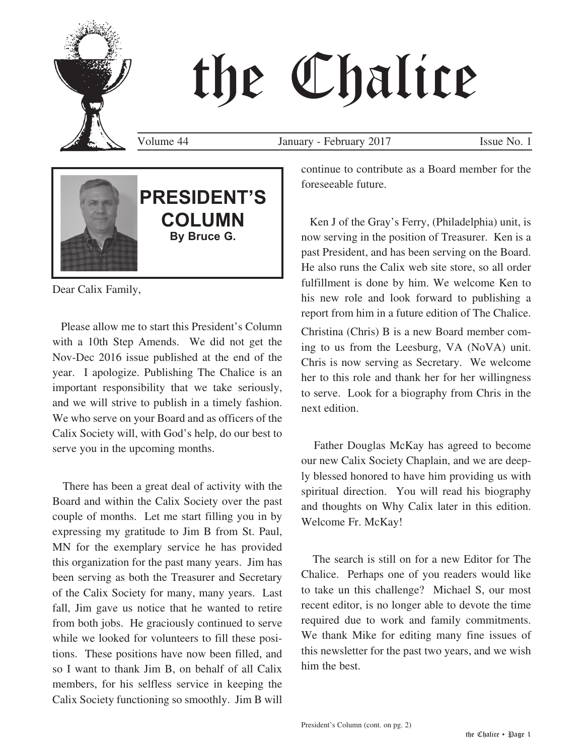# the Chalice

Volume 44 January - February 2017 Issue No. 1



Dear Calix Family,

 Please allow me to start this President's Column with a 10th Step Amends. We did not get the Nov-Dec 2016 issue published at the end of the year. I apologize. Publishing The Chalice is an important responsibility that we take seriously, and we will strive to publish in a timely fashion. We who serve on your Board and as officers of the Calix Society will, with God's help, do our best to serve you in the upcoming months.

 There has been a great deal of activity with the Board and within the Calix Society over the past couple of months. Let me start filling you in by expressing my gratitude to Jim B from St. Paul, MN for the exemplary service he has provided this organization for the past many years. Jim has been serving as both the Treasurer and Secretary of the Calix Society for many, many years. Last fall, Jim gave us notice that he wanted to retire from both jobs. He graciously continued to serve while we looked for volunteers to fill these positions. These positions have now been filled, and so I want to thank Jim B, on behalf of all Calix members, for his selfless service in keeping the Calix Society functioning so smoothly. Jim B will continue to contribute as a Board member for the foreseeable future.

 Ken J of the Gray's Ferry, (Philadelphia) unit, is now serving in the position of Treasurer. Ken is a past President, and has been serving on the Board. He also runs the Calix web site store, so all order fulfillment is done by him. We welcome Ken to his new role and look forward to publishing a report from him in a future edition of The Chalice.

Christina (Chris) B is a new Board member coming to us from the Leesburg, VA (NoVA) unit. Chris is now serving as Secretary. We welcome her to this role and thank her for her willingness to serve. Look for a biography from Chris in the next edition.

 Father Douglas McKay has agreed to become our new Calix Society Chaplain, and we are deeply blessed honored to have him providing us with spiritual direction. You will read his biography and thoughts on Why Calix later in this edition. Welcome Fr. McKay!

 The search is still on for a new Editor for The Chalice. Perhaps one of you readers would like to take un this challenge? Michael S, our most recent editor, is no longer able to devote the time required due to work and family commitments. We thank Mike for editing many fine issues of this newsletter for the past two years, and we wish him the best.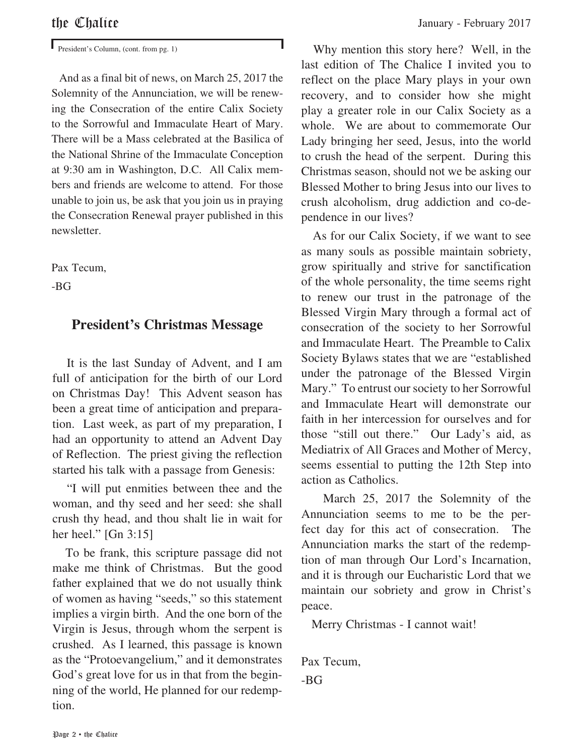President's Column, (cont. from pg. 1)

 And as a final bit of news, on March 25, 2017 the Solemnity of the Annunciation, we will be renewing the Consecration of the entire Calix Society to the Sorrowful and Immaculate Heart of Mary. There will be a Mass celebrated at the Basilica of the National Shrine of the Immaculate Conception at 9:30 am in Washington, D.C. All Calix members and friends are welcome to attend. For those unable to join us, be ask that you join us in praying the Consecration Renewal prayer published in this newsletter.

Pax Tecum,

-BG

#### **President's Christmas Message**

 It is the last Sunday of Advent, and I am full of anticipation for the birth of our Lord on Christmas Day! This Advent season has been a great time of anticipation and preparation. Last week, as part of my preparation, I had an opportunity to attend an Advent Day of Reflection. The priest giving the reflection started his talk with a passage from Genesis:

 "I will put enmities between thee and the woman, and thy seed and her seed: she shall crush thy head, and thou shalt lie in wait for her heel." [Gn 3:15]

 To be frank, this scripture passage did not make me think of Christmas. But the good father explained that we do not usually think of women as having "seeds," so this statement implies a virgin birth. And the one born of the Virgin is Jesus, through whom the serpent is crushed. As I learned, this passage is known as the "Protoevangelium," and it demonstrates God's great love for us in that from the beginning of the world, He planned for our redemption.

 Why mention this story here? Well, in the last edition of The Chalice I invited you to reflect on the place Mary plays in your own recovery, and to consider how she might play a greater role in our Calix Society as a whole. We are about to commemorate Our Lady bringing her seed, Jesus, into the world to crush the head of the serpent. During this Christmas season, should not we be asking our Blessed Mother to bring Jesus into our lives to crush alcoholism, drug addiction and co-dependence in our lives?

 As for our Calix Society, if we want to see as many souls as possible maintain sobriety, grow spiritually and strive for sanctification of the whole personality, the time seems right to renew our trust in the patronage of the Blessed Virgin Mary through a formal act of consecration of the society to her Sorrowful and Immaculate Heart. The Preamble to Calix Society Bylaws states that we are "established under the patronage of the Blessed Virgin Mary." To entrust our society to her Sorrowful and Immaculate Heart will demonstrate our faith in her intercession for ourselves and for those "still out there." Our Lady's aid, as Mediatrix of All Graces and Mother of Mercy, seems essential to putting the 12th Step into action as Catholics.

 March 25, 2017 the Solemnity of the Annunciation seems to me to be the perfect day for this act of consecration. The Annunciation marks the start of the redemption of man through Our Lord's Incarnation, and it is through our Eucharistic Lord that we maintain our sobriety and grow in Christ's peace.

Merry Christmas - I cannot wait!

Pax Tecum, -BG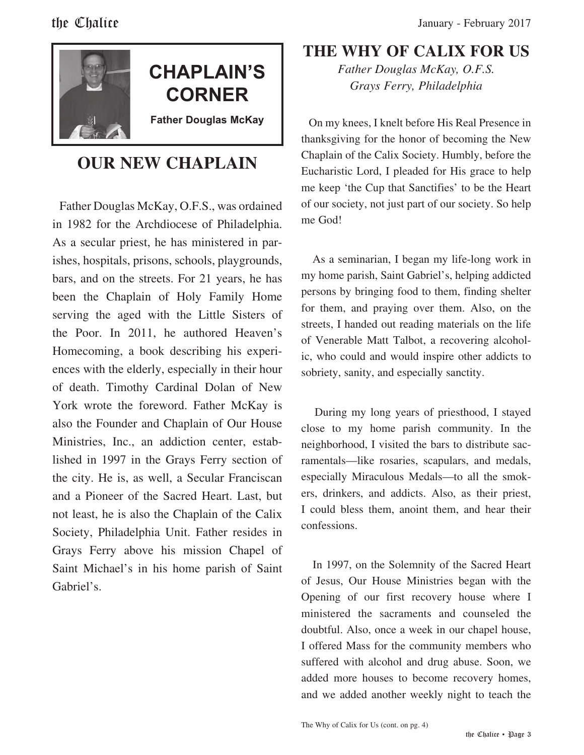

## **CHAPLAIN'S CORNER**

**Father Douglas McKay**

### **OUR NEW CHAPLAIN**

 Father Douglas McKay, O.F.S., was ordained in 1982 for the Archdiocese of Philadelphia. As a secular priest, he has ministered in parishes, hospitals, prisons, schools, playgrounds, bars, and on the streets. For 21 years, he has been the Chaplain of Holy Family Home serving the aged with the Little Sisters of the Poor. In 2011, he authored Heaven's Homecoming, a book describing his experiences with the elderly, especially in their hour of death. Timothy Cardinal Dolan of New York wrote the foreword. Father McKay is also the Founder and Chaplain of Our House Ministries, Inc., an addiction center, established in 1997 in the Grays Ferry section of the city. He is, as well, a Secular Franciscan and a Pioneer of the Sacred Heart. Last, but not least, he is also the Chaplain of the Calix Society, Philadelphia Unit. Father resides in Grays Ferry above his mission Chapel of Saint Michael's in his home parish of Saint Gabriel's.

#### **THE WHY OF CALIX FOR US**

*Father Douglas McKay, O.F.S. Grays Ferry, Philadelphia*

 On my knees, I knelt before His Real Presence in thanksgiving for the honor of becoming the New Chaplain of the Calix Society. Humbly, before the Eucharistic Lord, I pleaded for His grace to help me keep 'the Cup that Sanctifies' to be the Heart of our society, not just part of our society. So help me God!

 As a seminarian, I began my life-long work in my home parish, Saint Gabriel's, helping addicted persons by bringing food to them, finding shelter for them, and praying over them. Also, on the streets, I handed out reading materials on the life of Venerable Matt Talbot, a recovering alcoholic, who could and would inspire other addicts to sobriety, sanity, and especially sanctity.

 During my long years of priesthood, I stayed close to my home parish community. In the neighborhood, I visited the bars to distribute sacramentals—like rosaries, scapulars, and medals, especially Miraculous Medals—to all the smokers, drinkers, and addicts. Also, as their priest, I could bless them, anoint them, and hear their confessions.

 In 1997, on the Solemnity of the Sacred Heart of Jesus, Our House Ministries began with the Opening of our first recovery house where I ministered the sacraments and counseled the doubtful. Also, once a week in our chapel house, I offered Mass for the community members who suffered with alcohol and drug abuse. Soon, we added more houses to become recovery homes, and we added another weekly night to teach the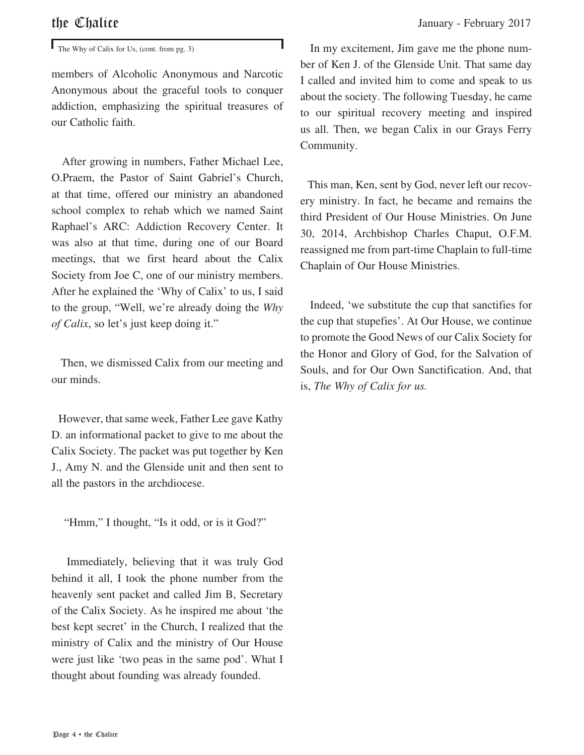$\mathbf{I}$  The Why of Calix for Us, (cont. from pg. 3)

members of Alcoholic Anonymous and Narcotic Anonymous about the graceful tools to conquer addiction, emphasizing the spiritual treasures of our Catholic faith.

 After growing in numbers, Father Michael Lee, O.Praem, the Pastor of Saint Gabriel's Church, at that time, offered our ministry an abandoned school complex to rehab which we named Saint Raphael's ARC: Addiction Recovery Center. It was also at that time, during one of our Board meetings, that we first heard about the Calix Society from Joe C, one of our ministry members. After he explained the 'Why of Calix' to us, I said to the group, "Well, we're already doing the *Why of Calix*, so let's just keep doing it."

 Then, we dismissed Calix from our meeting and our minds.

 However, that same week, Father Lee gave Kathy D. an informational packet to give to me about the Calix Society. The packet was put together by Ken J., Amy N. and the Glenside unit and then sent to all the pastors in the archdiocese.

"Hmm," I thought, "Is it odd, or is it God?"

 Immediately, believing that it was truly God behind it all, I took the phone number from the heavenly sent packet and called Jim B, Secretary of the Calix Society. As he inspired me about 'the best kept secret' in the Church, I realized that the ministry of Calix and the ministry of Our House were just like 'two peas in the same pod'. What I thought about founding was already founded.

the Chalice January - February 2017

 In my excitement, Jim gave me the phone number of Ken J. of the Glenside Unit. That same day I called and invited him to come and speak to us about the society. The following Tuesday, he came to our spiritual recovery meeting and inspired us all. Then, we began Calix in our Grays Ferry Community.

 This man, Ken, sent by God, never left our recovery ministry. In fact, he became and remains the third President of Our House Ministries. On June 30, 2014, Archbishop Charles Chaput, O.F.M. reassigned me from part-time Chaplain to full-time Chaplain of Our House Ministries.

 Indeed, 'we substitute the cup that sanctifies for the cup that stupefies'. At Our House, we continue to promote the Good News of our Calix Society for the Honor and Glory of God, for the Salvation of Souls, and for Our Own Sanctification. And, that is, *The Why of Calix for us.*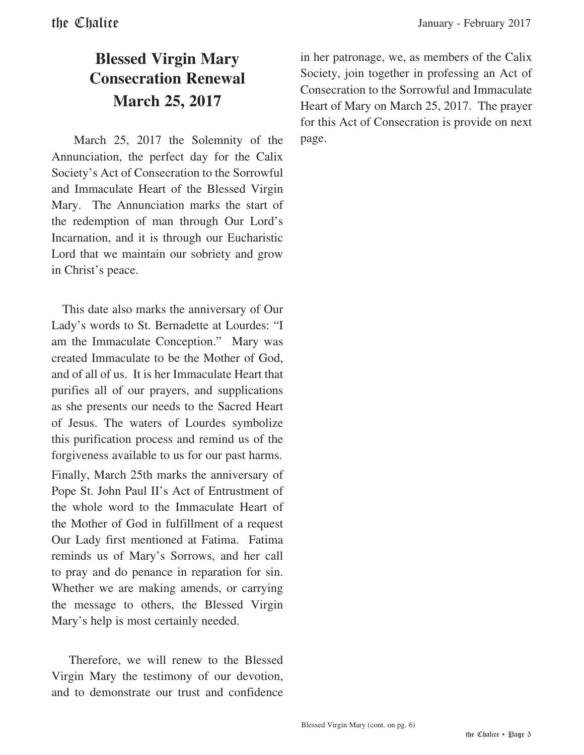#### **Blessed Virgin Mary Consecration Renewal March 25, 2017**

 March 25, 2017 the Solemnity of the Annunciation, the perfect day for the Calix Society's Act of Consecration to the Sorrowful and Immaculate Heart of the Blessed Virgin Mary. The Annunciation marks the start of the redemption of man through Our Lord's Incarnation, and it is through our Eucharistic Lord that we maintain our sobriety and grow in Christ's peace.

 This date also marks the anniversary of Our Lady's words to St. Bernadette at Lourdes: "I am the Immaculate Conception." Mary was created Immaculate to be the Mother of God, and of all of us. It is her Immaculate Heart that purifies all of our prayers, and supplications as she presents our needs to the Sacred Heart of Jesus. The waters of Lourdes symbolize this purification process and remind us of the forgiveness available to us for our past harms.

Finally, March 25th marks the anniversary of Pope St. John Paul II's Act of Entrustment of the whole word to the Immaculate Heart of the Mother of God in fulfillment of a request Our Lady first mentioned at Fatima. Fatima reminds us of Mary's Sorrows, and her call to pray and do penance in reparation for sin. Whether we are making amends, or carrying the message to others, the Blessed Virgin Mary's help is most certainly needed.

 Therefore, we will renew to the Blessed Virgin Mary the testimony of our devotion, and to demonstrate our trust and confidence in her patronage, we, as members of the Calix Society, join together in professing an Act of Consecration to the Sorrowful and Immaculate Heart of Mary on March 25, 2017. The prayer for this Act of Consecration is provide on next page.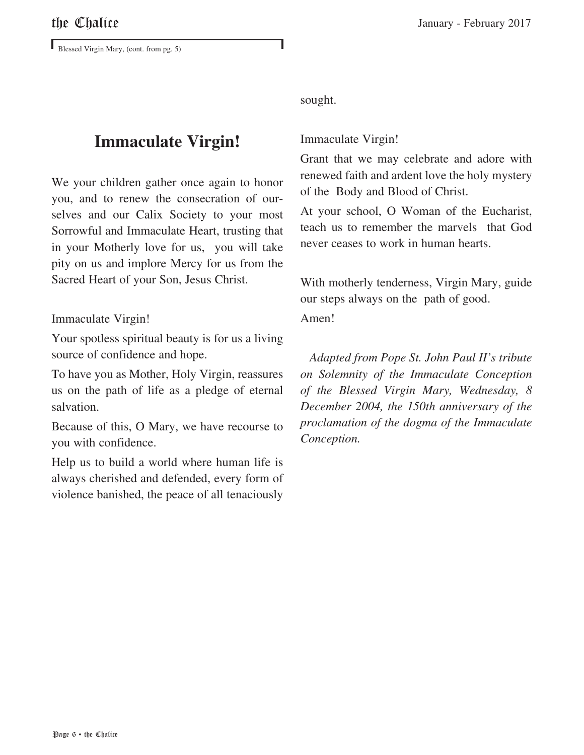Blessed Virgin Mary, (cont. from pg. 5)

#### **Immaculate Virgin!**

We your children gather once again to honor you, and to renew the consecration of ourselves and our Calix Society to your most Sorrowful and Immaculate Heart, trusting that in your Motherly love for us, you will take pity on us and implore Mercy for us from the Sacred Heart of your Son, Jesus Christ.

#### Immaculate Virgin!

Your spotless spiritual beauty is for us a living source of confidence and hope.

To have you as Mother, Holy Virgin, reassures us on the path of life as a pledge of eternal salvation.

Because of this, O Mary, we have recourse to you with confidence.

Help us to build a world where human life is always cherished and defended, every form of violence banished, the peace of all tenaciously

sought.

#### Immaculate Virgin!

Grant that we may celebrate and adore with renewed faith and ardent love the holy mystery of the Body and Blood of Christ.

At your school, O Woman of the Eucharist, teach us to remember the marvels that God never ceases to work in human hearts.

With motherly tenderness, Virgin Mary, guide our steps always on the path of good.

#### Amen!

 *Adapted from Pope St. John Paul II's tribute on Solemnity of the Immaculate Conception of the Blessed Virgin Mary, Wednesday, 8 December 2004, the 150th anniversary of the proclamation of the dogma of the Immaculate Conception.*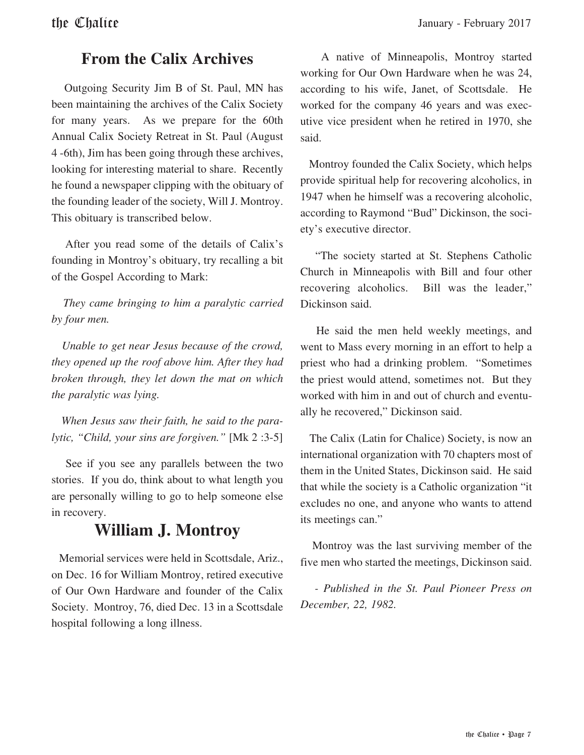#### **From the Calix Archives**

 Outgoing Security Jim B of St. Paul, MN has been maintaining the archives of the Calix Society for many years. As we prepare for the 60th Annual Calix Society Retreat in St. Paul (August 4 -6th), Jim has been going through these archives, looking for interesting material to share. Recently he found a newspaper clipping with the obituary of the founding leader of the society, Will J. Montroy. This obituary is transcribed below.

 After you read some of the details of Calix's founding in Montroy's obituary, try recalling a bit of the Gospel According to Mark:

 *They came bringing to him a paralytic carried by four men.* 

 *Unable to get near Jesus because of the crowd, they opened up the roof above him. After they had broken through, they let down the mat on which the paralytic was lying.* 

 *When Jesus saw their faith, he said to the paralytic, "Child, your sins are forgiven."* [Mk 2 :3-5]

 See if you see any parallels between the two stories. If you do, think about to what length you are personally willing to go to help someone else in recovery.

#### **William J. Montroy**

 Memorial services were held in Scottsdale, Ariz., on Dec. 16 for William Montroy, retired executive of Our Own Hardware and founder of the Calix Society. Montroy, 76, died Dec. 13 in a Scottsdale hospital following a long illness.

 A native of Minneapolis, Montroy started working for Our Own Hardware when he was 24, according to his wife, Janet, of Scottsdale. He worked for the company 46 years and was executive vice president when he retired in 1970, she said.

 Montroy founded the Calix Society, which helps provide spiritual help for recovering alcoholics, in 1947 when he himself was a recovering alcoholic, according to Raymond "Bud" Dickinson, the society's executive director.

 "The society started at St. Stephens Catholic Church in Minneapolis with Bill and four other recovering alcoholics. Bill was the leader," Dickinson said.

 He said the men held weekly meetings, and went to Mass every morning in an effort to help a priest who had a drinking problem. "Sometimes the priest would attend, sometimes not. But they worked with him in and out of church and eventually he recovered," Dickinson said.

 The Calix (Latin for Chalice) Society, is now an international organization with 70 chapters most of them in the United States, Dickinson said. He said that while the society is a Catholic organization "it excludes no one, and anyone who wants to attend its meetings can."

 Montroy was the last surviving member of the five men who started the meetings, Dickinson said.

 *- Published in the St. Paul Pioneer Press on December, 22, 1982.*